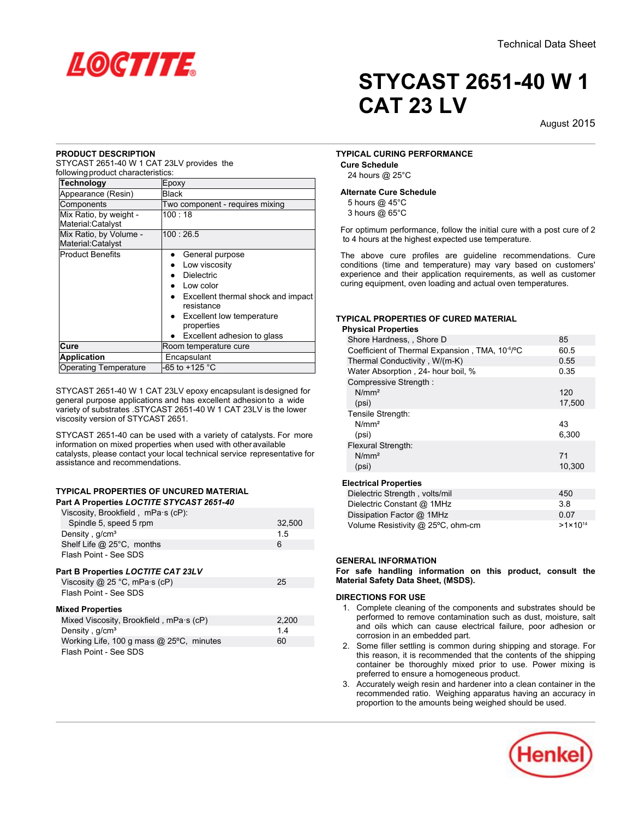

#### **PRODUCT DESCRIPTION**

STYCAST 2651-40 W 1 CAT 23LV provides the following product characteristics:

| <u>iuliuwilių pruguot criaracteristics.</u> |                                                  |
|---------------------------------------------|--------------------------------------------------|
| <b>Technology</b>                           | Epoxy                                            |
| Appearance (Resin)                          | Black                                            |
| Components                                  | Two component - requires mixing                  |
| Mix Ratio, by weight -<br>Material:Catalyst | 100:18                                           |
| Mix Ratio, by Volume -<br>Material:Catalyst | 100:26.5                                         |
| <b>Product Benefits</b>                     | General purpose<br>$\bullet$                     |
|                                             | Low viscosity                                    |
|                                             | <b>Dielectric</b>                                |
|                                             | Low color                                        |
|                                             | Excellent thermal shock and impact<br>resistance |
|                                             | Excellent low temperature<br>properties          |
|                                             | Excellent adhesion to glass                      |
| Cure                                        | Room temperature cure                            |
| <b>Application</b>                          | Encapsulant                                      |
| <b>Operating Temperature</b>                | -65 to +125 °C                                   |

STYCAST 2651-40 W 1 CAT 23LV epoxy encapsulant isdesigned for general purpose applications and has excellent adhesionto a wide variety of substrates .STYCAST 2651-40 W 1 CAT 23LV is the lower viscosity version of STYCAST 2651.

STYCAST 2651-40 can be used with a variety of catalysts. For more information on mixed properties when used with otheravailable catalysts, please contact your local technical service representative for assistance and recommendations.

#### **TYPICAL PROPERTIES OF UNCURED MATERIAL Part A Properties** *LOCTITE STYCAST 2651-40*

| Viscosity, Brookfield, mPa·s (cP): |        |
|------------------------------------|--------|
| Spindle 5, speed 5 rpm             | 32.500 |
| Density, $q/cm3$                   | 15     |
| Shelf Life $@$ 25°C, months        | 6      |
| Flash Point - See SDS              |        |
|                                    |        |

# **Part B Properties** *LOCTITE CAT 23LV*

| Viscosity @ 25 °C, mPa $\cdot$ s (cP)          | 25    |
|------------------------------------------------|-------|
| Flash Point - See SDS                          |       |
| <b>Mixed Properties</b>                        |       |
| Mixed Viscosity, Brookfield, mPa·s (cP)        | 2,200 |
| Density, g/cm <sup>3</sup>                     | 14    |
| Working Life, 100 g mass $@$ 25 $°C$ , minutes | 60    |
| Flash Point - See SDS                          |       |

# **STYCAST 2651-40 W 1 CAT 23 LV**

August-2015

## **TYPICAL CURING PERFORMANCE**

**Cure Schedule** 24 hours @ 25°C

#### **Alternate Cure Schedule**

5 hours @ 45°C 3 hours @ 65°C

For optimum performance, follow the initial cure with a post cure of 2 to 4 hours at the highest expected use temperature.

The above cure profiles are guideline recommendations. Cure conditions (time and temperature) may vary based on customers' experience and their application requirements, as well as customer curing equipment, oven loading and actual oven temperatures.

# **TYPICAL PROPERTIES OF CURED MATERIAL**

**Physical Properties**

| Shore Hardness, , Shore D                                   | 85     |
|-------------------------------------------------------------|--------|
| Coefficient of Thermal Expansion, TMA, 10 <sup>-6/o</sup> C | 60.5   |
| Thermal Conductivity, W/(m-K)                               | 0.55   |
| Water Absorption, 24- hour boil, %                          | 0.35   |
| Compressive Strength:                                       |        |
| N/mm <sup>2</sup>                                           | 120    |
| (psi)                                                       | 17,500 |
| Tensile Strength:                                           |        |
| N/mm <sup>2</sup>                                           | 43     |
| (psi)                                                       | 6,300  |
| Flexural Strength:                                          |        |
| N/mm <sup>2</sup>                                           | 71     |
| (psi)                                                       | 10.300 |
|                                                             |        |
| <b>Electrical Properties</b>                                |        |
| Diolootria Ctronath walte/mil                               | 150    |

| Dielectric Strength, volts/mil    | 450                 |
|-----------------------------------|---------------------|
| Dielectric Constant @ 1MHz        | 38                  |
| Dissipation Factor @ 1MHz         | 0.07                |
| Volume Resistivity @ 25°C, ohm-cm | $>1 \times 10^{14}$ |

## **GENERAL INFORMATION**

**For safe handling information on this product, consult the Material Safety Data Sheet, (MSDS).**

#### **DIRECTIONS FOR USE**

- 1. Complete cleaning of the components and substrates should be performed to remove contamination such as dust, moisture, salt and oils which can cause electrical failure, poor adhesion or corrosion in an embedded part.
- 2. Some filler settling is common during shipping and storage. For this reason, it is recommended that the contents of the shipping container be thoroughly mixed prior to use. Power mixing is preferred to ensure a homogeneous product.
- 3. Accurately weigh resin and hardener into a clean container in the recommended ratio. Weighing apparatus having an accuracy in proportion to the amounts being weighed should be used.